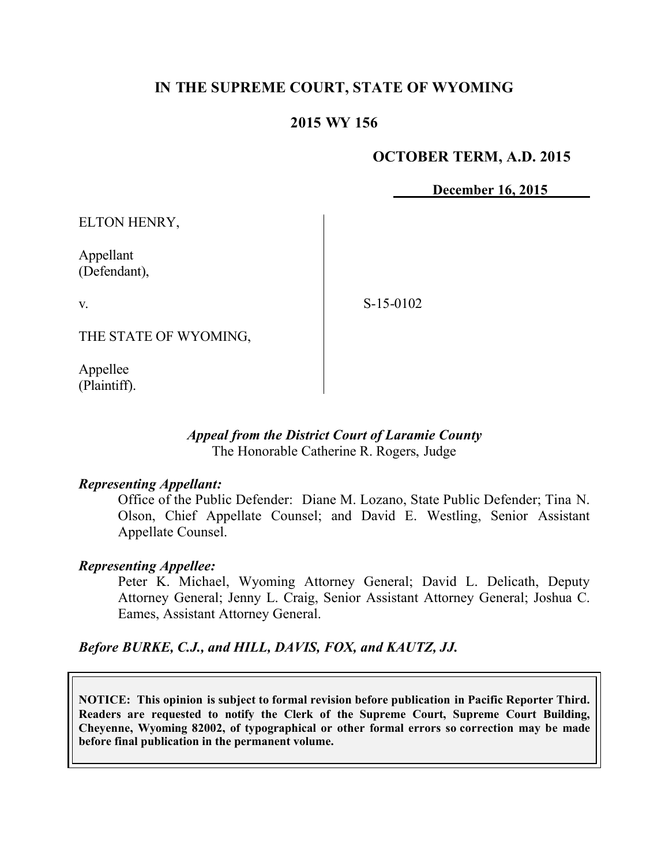# **IN THE SUPREME COURT, STATE OF WYOMING**

## **2015 WY 156**

#### **OCTOBER TERM, A.D. 2015**

**December 16, 2015**

ELTON HENRY,

Appellant (Defendant),

v.

S-15-0102

THE STATE OF WYOMING,

Appellee (Plaintiff).

#### *Appeal from the District Court of Laramie County* The Honorable Catherine R. Rogers, Judge

#### *Representing Appellant:*

Office of the Public Defender: Diane M. Lozano, State Public Defender; Tina N. Olson, Chief Appellate Counsel; and David E. Westling, Senior Assistant Appellate Counsel.

#### *Representing Appellee:*

Peter K. Michael, Wyoming Attorney General; David L. Delicath, Deputy Attorney General; Jenny L. Craig, Senior Assistant Attorney General; Joshua C. Eames, Assistant Attorney General.

*Before BURKE, C.J., and HILL, DAVIS, FOX, and KAUTZ, JJ.*

**NOTICE: This opinion is subject to formal revision before publication in Pacific Reporter Third. Readers are requested to notify the Clerk of the Supreme Court, Supreme Court Building, Cheyenne, Wyoming 82002, of typographical or other formal errors so correction may be made before final publication in the permanent volume.**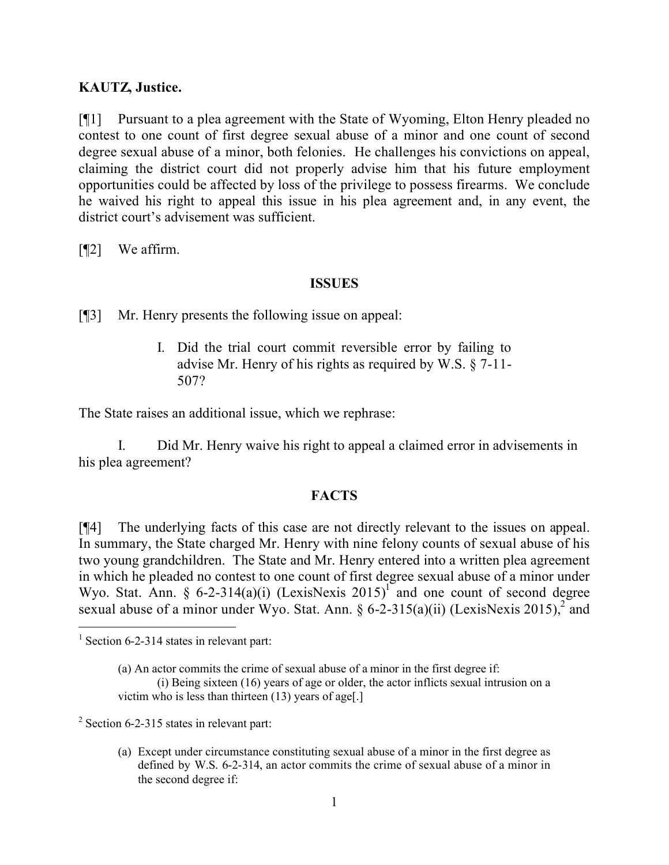#### **KAUTZ, Justice.**

[¶1] Pursuant to a plea agreement with the State of Wyoming, Elton Henry pleaded no contest to one count of first degree sexual abuse of a minor and one count of second degree sexual abuse of a minor, both felonies. He challenges his convictions on appeal, claiming the district court did not properly advise him that his future employment opportunities could be affected by loss of the privilege to possess firearms. We conclude he waived his right to appeal this issue in his plea agreement and, in any event, the district court's advisement was sufficient.

[¶2] We affirm.

#### **ISSUES**

[¶3] Mr. Henry presents the following issue on appeal:

I. Did the trial court commit reversible error by failing to advise Mr. Henry of his rights as required by W.S. § 7-11- 507?

The State raises an additional issue, which we rephrase:

I. Did Mr. Henry waive his right to appeal a claimed error in advisements in his plea agreement?

## **FACTS**

[¶4] The underlying facts of this case are not directly relevant to the issues on appeal. In summary, the State charged Mr. Henry with nine felony counts of sexual abuse of his two young grandchildren. The State and Mr. Henry entered into a written plea agreement in which he pleaded no contest to one count of first degree sexual abuse of a minor under Wyo. Stat. Ann. § 6-2-314(a)(i) (LexisNexis 2015)<sup>1</sup> and one count of second degree sexual abuse of a minor under Wyo. Stat. Ann. §  $6-2-315(a)(ii)$  (LexisNexis 2015), and

 <sup>1</sup> Section 6-2-314 states in relevant part:

<sup>(</sup>a) An actor commits the crime of sexual abuse of a minor in the first degree if: (i) Being sixteen (16) years of age or older, the actor inflicts sexual intrusion on a victim who is less than thirteen (13) years of age[.]

 $2$  Section 6-2-315 states in relevant part:

<sup>(</sup>a) Except under circumstance constituting sexual abuse of a minor in the first degree as defined by W.S. 6-2-314, an actor commits the crime of sexual abuse of a minor in the second degree if: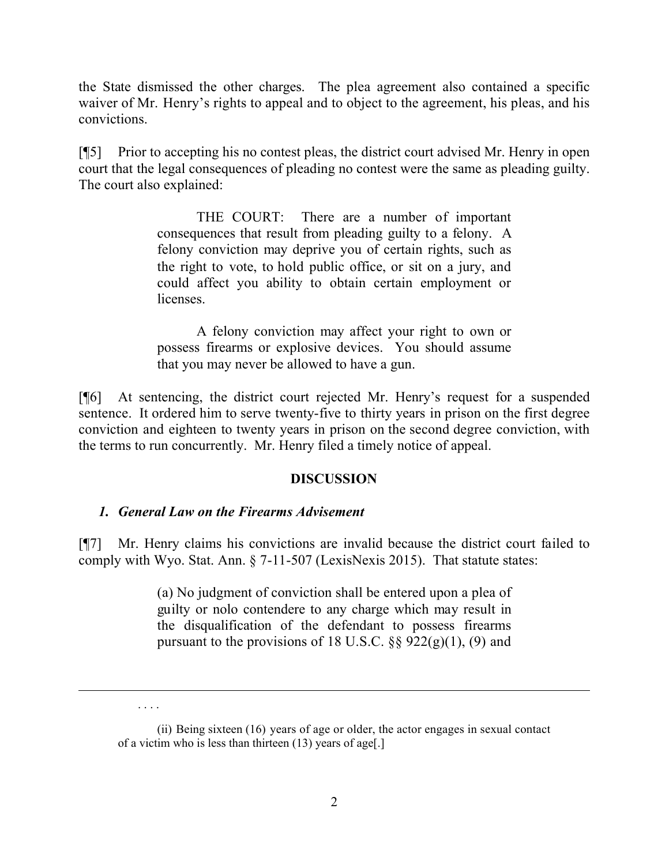the State dismissed the other charges. The plea agreement also contained a specific waiver of Mr. Henry's rights to appeal and to object to the agreement, his pleas, and his convictions.

[¶5] Prior to accepting his no contest pleas, the district court advised Mr. Henry in open court that the legal consequences of pleading no contest were the same as pleading guilty. The court also explained:

> THE COURT: There are a number of important consequences that result from pleading guilty to a felony. A felony conviction may deprive you of certain rights, such as the right to vote, to hold public office, or sit on a jury, and could affect you ability to obtain certain employment or licenses.

> A felony conviction may affect your right to own or possess firearms or explosive devices. You should assume that you may never be allowed to have a gun.

[¶6] At sentencing, the district court rejected Mr. Henry's request for a suspended sentence. It ordered him to serve twenty-five to thirty years in prison on the first degree conviction and eighteen to twenty years in prison on the second degree conviction, with the terms to run concurrently. Mr. Henry filed a timely notice of appeal.

## **DISCUSSION**

## *1. General Law on the Firearms Advisement*

[¶7] Mr. Henry claims his convictions are invalid because the district court failed to comply with Wyo. Stat. Ann. § 7-11-507 (LexisNexis 2015). That statute states:

> (a) No judgment of conviction shall be entered upon a plea of guilty or nolo contendere to any charge which may result in the disqualification of the defendant to possess firearms pursuant to the provisions of 18 U.S.C.  $\S$ § 922(g)(1), (9) and

 $\overline{a}$ 

<sup>. . . .</sup>

<sup>(</sup>ii) Being sixteen (16) years of age or older, the actor engages in sexual contact of a victim who is less than thirteen (13) years of age[.]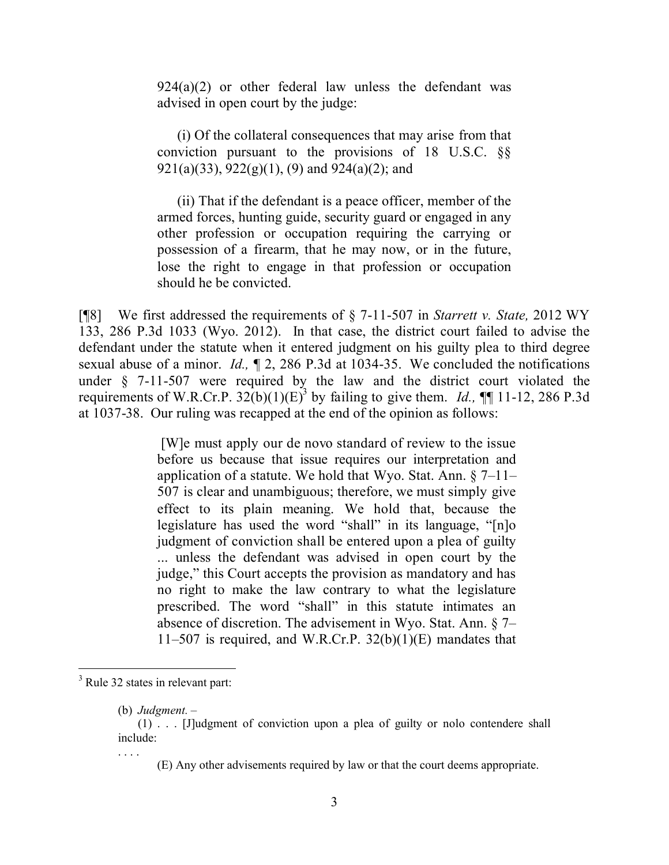924(a)(2) or other federal law unless the defendant was advised in open court by the judge:

(i) Of the collateral consequences that may arise from that conviction pursuant to the provisions of 18 U.S.C. §§  $921(a)(33), 922(g)(1), (9)$  and  $924(a)(2)$ ; and

(ii) That if the defendant is a peace officer, member of the armed forces, hunting guide, security guard or engaged in any other profession or occupation requiring the carrying or possession of a firearm, that he may now, or in the future, lose the right to engage in that profession or occupation should he be convicted.

[¶8] We first addressed the requirements of § 7-11-507 in *Starrett v. State,* 2012 WY 133, 286 P.3d 1033 (Wyo. 2012). In that case, the district court failed to advise the defendant under the statute when it entered judgment on his guilty plea to third degree sexual abuse of a minor. *Id.,* ¶ 2, 286 P.3d at 1034-35. We concluded the notifications under § 7-11-507 were required by the law and the district court violated the requirements of W.R.Cr.P.  $32(b)(1)(E)^3$  by failing to give them. *Id.*, **[1**] 11-12, 286 P.3d at 1037-38. Our ruling was recapped at the end of the opinion as follows:

> [W]e must apply our de novo standard of review to the issue before us because that issue requires our interpretation and application of a statute. We hold that Wyo. Stat. Ann.  $\S$  7–11– 507 is clear and unambiguous; therefore, we must simply give effect to its plain meaning. We hold that, because the legislature has used the word "shall" in its language, "[n]o judgment of conviction shall be entered upon a plea of guilty ... unless the defendant was advised in open court by the judge," this Court accepts the provision as mandatory and has no right to make the law contrary to what the legislature prescribed. The word "shall" in this statute intimates an absence of discretion. The advisement in Wyo. Stat. Ann. § 7– 11–507 is required, and W.R.Cr.P.  $32(b)(1)(E)$  mandates that

. . . .

(E) Any other advisements required by law or that the court deems appropriate.

<sup>&</sup>lt;sup>3</sup> Rule 32 states in relevant part:

<sup>(</sup>b) *Judgment.* –

<sup>(1) . . . [</sup>J]udgment of conviction upon a plea of guilty or nolo contendere shall include: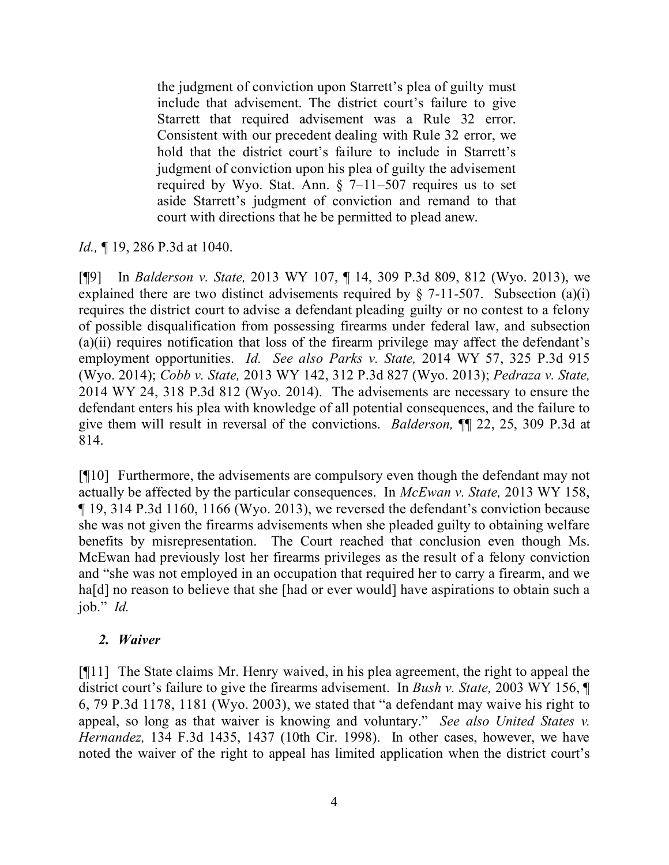the judgment of conviction upon Starrett's plea of guilty must include that advisement. The district court's failure to give Starrett that required advisement was a Rule 32 error. Consistent with our precedent dealing with Rule 32 error, we hold that the district court's failure to include in Starrett's judgment of conviction upon his plea of guilty the advisement required by Wyo. Stat. Ann. § 7–11–507 requires us to set aside Starrett's judgment of conviction and remand to that court with directions that he be permitted to plead anew.

*Id.,* ¶ 19, 286 P.3d at 1040.

[¶9] In *Balderson v. State,* 2013 WY 107, ¶ 14, 309 P.3d 809, 812 (Wyo. 2013), we explained there are two distinct advisements required by  $\S$  7-11-507. Subsection (a)(i) requires the district court to advise a defendant pleading guilty or no contest to a felony of possible disqualification from possessing firearms under federal law, and subsection (a)(ii) requires notification that loss of the firearm privilege may affect the defendant's employment opportunities. *Id. See also Parks v. State,* 2014 WY 57, 325 P.3d 915 (Wyo. 2014); *Cobb v. State,* 2013 WY 142, 312 P.3d 827 (Wyo. 2013); *Pedraza v. State,* 2014 WY 24, 318 P.3d 812 (Wyo. 2014). The advisements are necessary to ensure the defendant enters his plea with knowledge of all potential consequences, and the failure to give them will result in reversal of the convictions. *Balderson,* ¶¶ 22, 25, 309 P.3d at 814.

[¶10] Furthermore, the advisements are compulsory even though the defendant may not actually be affected by the particular consequences. In *McEwan v. State,* 2013 WY 158, ¶ 19, 314 P.3d 1160, 1166 (Wyo. 2013), we reversed the defendant's conviction because she was not given the firearms advisements when she pleaded guilty to obtaining welfare benefits by misrepresentation. The Court reached that conclusion even though Ms. McEwan had previously lost her firearms privileges as the result of a felony conviction and "she was not employed in an occupation that required her to carry a firearm, and we ha<sup>[d]</sup> no reason to believe that she [had or ever would] have aspirations to obtain such a job." *Id.*

## *2. Waiver*

[¶11] The State claims Mr. Henry waived, in his plea agreement, the right to appeal the district court's failure to give the firearms advisement. In *Bush v. State,* 2003 WY 156, ¶ 6, 79 P.3d 1178, 1181 (Wyo. 2003), we stated that "a defendant may waive his right to appeal, so long as that waiver is knowing and voluntary." *See also United States v. Hernandez,* 134 F.3d 1435, 1437 (10th Cir. 1998). In other cases, however, we have noted the waiver of the right to appeal has limited application when the district court's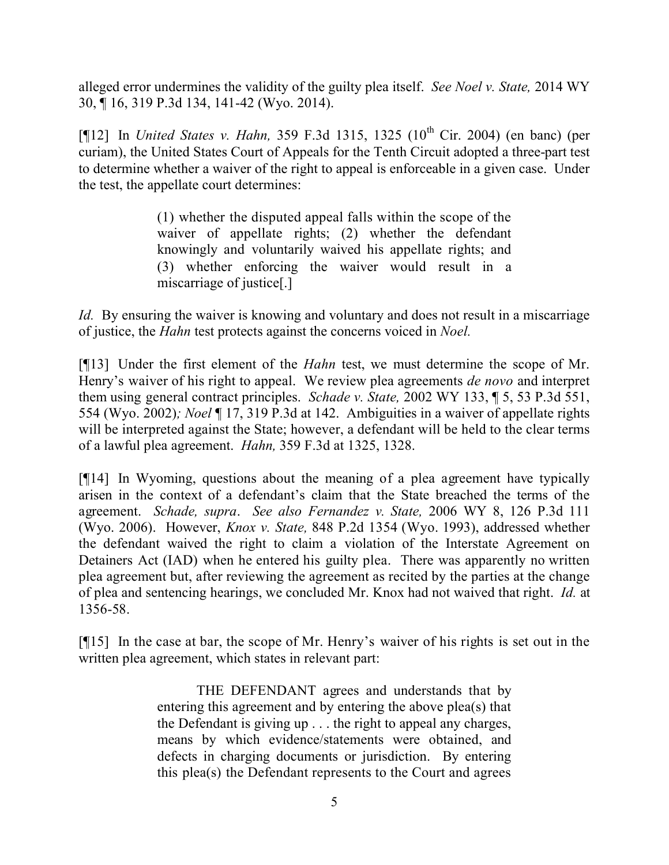alleged error undermines the validity of the guilty plea itself. *See Noel v. State,* 2014 WY 30, ¶ 16, 319 P.3d 134, 141-42 (Wyo. 2014).

[¶12] In *United States v. Hahn,* 359 F.3d 1315, 1325 (10<sup>th</sup> Cir. 2004) (en banc) (per curiam), the United States Court of Appeals for the Tenth Circuit adopted a three-part test to determine whether a waiver of the right to appeal is enforceable in a given case. Under the test, the appellate court determines:

> (1) whether the disputed appeal falls within the scope of the waiver of appellate rights; (2) whether the defendant knowingly and voluntarily waived his appellate rights; and (3) whether enforcing the waiver would result in a miscarriage of justice[.]

*Id.* By ensuring the waiver is knowing and voluntary and does not result in a miscarriage of justice, the *Hahn* test protects against the concerns voiced in *Noel.* 

[¶13] Under the first element of the *Hahn* test, we must determine the scope of Mr. Henry's waiver of his right to appeal. We review plea agreements *de novo* and interpret them using general contract principles. *Schade v. State,* 2002 WY 133, ¶ 5, 53 P.3d 551, 554 (Wyo. 2002)*; Noel* ¶ 17, 319 P.3d at 142. Ambiguities in a waiver of appellate rights will be interpreted against the State; however, a defendant will be held to the clear terms of a lawful plea agreement. *Hahn,* 359 F.3d at 1325, 1328.

[¶14] In Wyoming, questions about the meaning of a plea agreement have typically arisen in the context of a defendant's claim that the State breached the terms of the agreement. *Schade, supra*. *See also Fernandez v. State,* 2006 WY 8, 126 P.3d 111 (Wyo. 2006). However, *Knox v. State,* 848 P.2d 1354 (Wyo. 1993), addressed whether the defendant waived the right to claim a violation of the Interstate Agreement on Detainers Act (IAD) when he entered his guilty plea. There was apparently no written plea agreement but, after reviewing the agreement as recited by the parties at the change of plea and sentencing hearings, we concluded Mr. Knox had not waived that right. *Id.* at 1356-58.

[¶15] In the case at bar, the scope of Mr. Henry's waiver of his rights is set out in the written plea agreement, which states in relevant part:

> THE DEFENDANT agrees and understands that by entering this agreement and by entering the above plea(s) that the Defendant is giving up . . . the right to appeal any charges, means by which evidence/statements were obtained, and defects in charging documents or jurisdiction. By entering this plea(s) the Defendant represents to the Court and agrees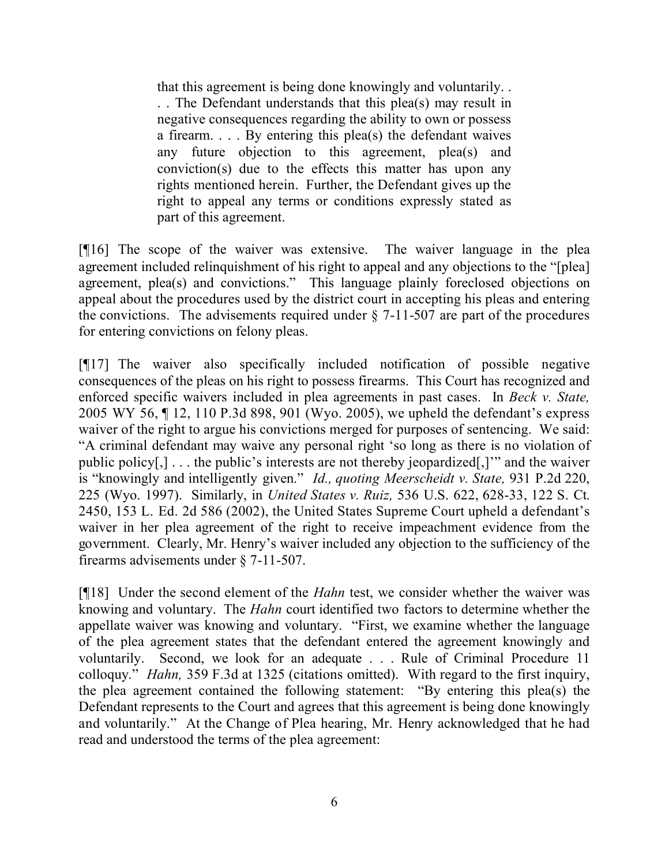that this agreement is being done knowingly and voluntarily. . . . The Defendant understands that this plea(s) may result in negative consequences regarding the ability to own or possess a firearm. . . . By entering this plea(s) the defendant waives any future objection to this agreement, plea(s) and conviction(s) due to the effects this matter has upon any rights mentioned herein. Further, the Defendant gives up the right to appeal any terms or conditions expressly stated as part of this agreement.

[¶16] The scope of the waiver was extensive. The waiver language in the plea agreement included relinquishment of his right to appeal and any objections to the "[plea] agreement, plea(s) and convictions." This language plainly foreclosed objections on appeal about the procedures used by the district court in accepting his pleas and entering the convictions. The advisements required under  $\S$  7-11-507 are part of the procedures for entering convictions on felony pleas.

[¶17] The waiver also specifically included notification of possible negative consequences of the pleas on his right to possess firearms. This Court has recognized and enforced specific waivers included in plea agreements in past cases. In *Beck v. State,*  2005 WY 56, ¶ 12, 110 P.3d 898, 901 (Wyo. 2005), we upheld the defendant's express waiver of the right to argue his convictions merged for purposes of sentencing. We said: "A criminal defendant may waive any personal right 'so long as there is no violation of public policy[,] . . . the public's interests are not thereby jeopardized[,]'" and the waiver is "knowingly and intelligently given." *Id., quoting Meerscheidt v. State,* 931 P.2d 220, 225 (Wyo. 1997). Similarly, in *United States v. Ruiz,* 536 U.S. 622, 628-33, 122 S. Ct. 2450, 153 L. Ed. 2d 586 (2002), the United States Supreme Court upheld a defendant's waiver in her plea agreement of the right to receive impeachment evidence from the government. Clearly, Mr. Henry's waiver included any objection to the sufficiency of the firearms advisements under § 7-11-507.

[¶18] Under the second element of the *Hahn* test, we consider whether the waiver was knowing and voluntary. The *Hahn* court identified two factors to determine whether the appellate waiver was knowing and voluntary. "First, we examine whether the language of the plea agreement states that the defendant entered the agreement knowingly and voluntarily. Second, we look for an adequate . . . Rule of Criminal Procedure 11 colloquy." *Hahn,* 359 F.3d at 1325 (citations omitted). With regard to the first inquiry, the plea agreement contained the following statement: "By entering this plea(s) the Defendant represents to the Court and agrees that this agreement is being done knowingly and voluntarily." At the Change of Plea hearing, Mr. Henry acknowledged that he had read and understood the terms of the plea agreement: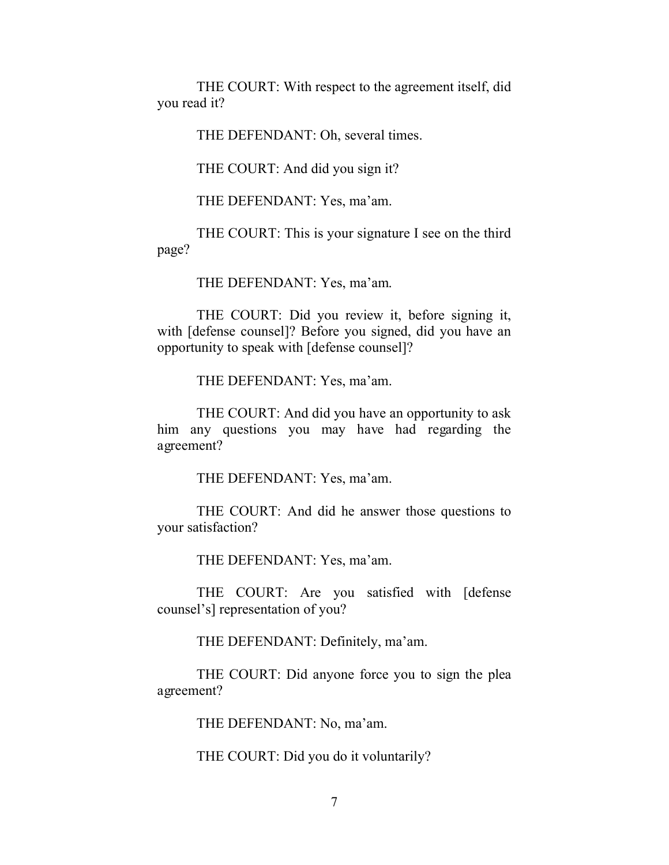THE COURT: With respect to the agreement itself, did you read it?

THE DEFENDANT: Oh, several times.

THE COURT: And did you sign it?

THE DEFENDANT: Yes, ma'am.

THE COURT: This is your signature I see on the third page?

THE DEFENDANT: Yes, ma'am.

THE COURT: Did you review it, before signing it, with [defense counsel]? Before you signed, did you have an opportunity to speak with [defense counsel]?

THE DEFENDANT: Yes, ma'am.

THE COURT: And did you have an opportunity to ask him any questions you may have had regarding the agreement?

THE DEFENDANT: Yes, ma'am.

THE COURT: And did he answer those questions to your satisfaction?

THE DEFENDANT: Yes, ma'am.

THE COURT: Are you satisfied with [defense counsel's] representation of you?

THE DEFENDANT: Definitely, ma'am.

THE COURT: Did anyone force you to sign the plea agreement?

THE DEFENDANT: No, ma'am.

THE COURT: Did you do it voluntarily?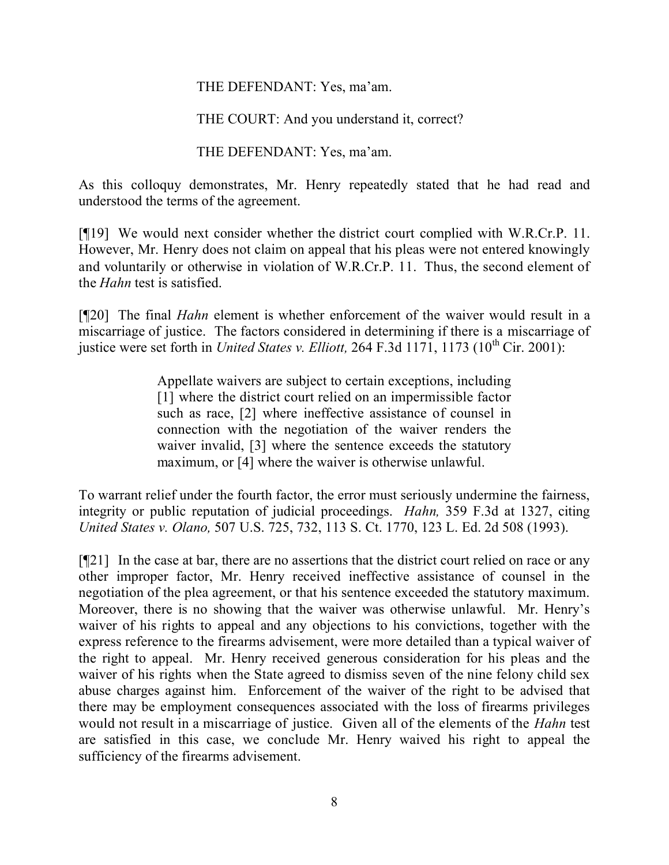#### THE DEFENDANT: Yes, ma'am.

## THE COURT: And you understand it, correct?

THE DEFENDANT: Yes, ma'am.

As this colloquy demonstrates, Mr. Henry repeatedly stated that he had read and understood the terms of the agreement.

[¶19] We would next consider whether the district court complied with W.R.Cr.P. 11. However, Mr. Henry does not claim on appeal that his pleas were not entered knowingly and voluntarily or otherwise in violation of W.R.Cr.P. 11. Thus, the second element of the *Hahn* test is satisfied.

[¶20] The final *Hahn* element is whether enforcement of the waiver would result in a miscarriage of justice. The factors considered in determining if there is a miscarriage of justice were set forth in *United States v. Elliott*, 264 F.3d 1171, 1173 (10<sup>th</sup> Cir. 2001):

> Appellate waivers are subject to certain exceptions, including [1] where the district court relied on an impermissible factor such as race, [2] where ineffective assistance of counsel in connection with the negotiation of the waiver renders the waiver invalid, [3] where the sentence exceeds the statutory maximum, or [4] where the waiver is otherwise unlawful.

To warrant relief under the fourth factor, the error must seriously undermine the fairness, integrity or public reputation of judicial proceedings. *Hahn,* 359 F.3d at 1327, citing *United States v. Olano,* 507 U.S. 725, 732, 113 S. Ct. 1770, 123 L. Ed. 2d 508 (1993).

[¶21] In the case at bar, there are no assertions that the district court relied on race or any other improper factor, Mr. Henry received ineffective assistance of counsel in the negotiation of the plea agreement, or that his sentence exceeded the statutory maximum. Moreover, there is no showing that the waiver was otherwise unlawful. Mr. Henry's waiver of his rights to appeal and any objections to his convictions, together with the express reference to the firearms advisement, were more detailed than a typical waiver of the right to appeal. Mr. Henry received generous consideration for his pleas and the waiver of his rights when the State agreed to dismiss seven of the nine felony child sex abuse charges against him. Enforcement of the waiver of the right to be advised that there may be employment consequences associated with the loss of firearms privileges would not result in a miscarriage of justice. Given all of the elements of the *Hahn* test are satisfied in this case, we conclude Mr. Henry waived his right to appeal the sufficiency of the firearms advisement.